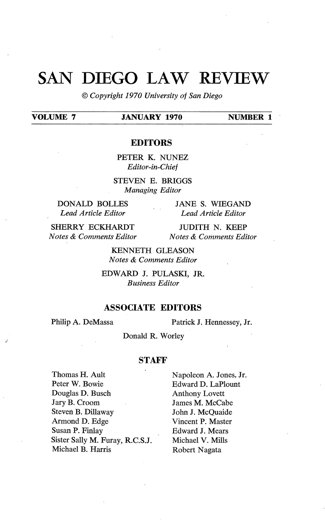# SAN **DIEGO** LAW REVIEW

© *Copyright 1970 University of San Diego* 

## **VOLUME 7 JANUARY 1970 NUMBER 1**

### **EDITORS**

PETER K. NUNEZ *Editor-in-Chief* 

STEVEN E. BRIGGS *Managing Editor* 

**DONALD BOLLES**  *Lead Article Editor* 

JANES. WIEGAND *Lead Article Editor* 

**SHERRY** ECKHARDT *Notes & Comments Editor* 

JUDITH N. KEEP *Notes & Comments Editor* 

KENNETH GLEASON *Notes & Comments Editor* 

EDWARD J. PULASKI, JR. *Business Editor* 

## **ASSOCIATE EDITORS**

Philip A. DeMassa Patrick J. Hennessey, Jr.

Donald R. Worley

#### **STAFF**

Thomas H. Ault Peter W. Bowie Douglas D. Busch Jary B. Croom Steven B. Dillaway Armond D. Edge Susan P. Finlay Sister Sally M. Furay, R.C.S.J. Michael B. Harris

Napoleon A. Jones, Jr. Edward D. LaPlount Anthony Lovett James **M.** McCabe John J. McQuaide Vincent **P.** Master Edward **J.** Mears Michael **V. Mills**  Robert Nagata